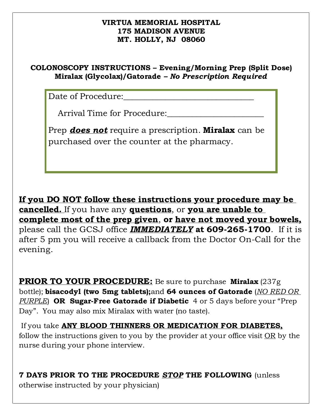## **VIRTUA MEMORIAL HOSPITAL 175 MADISON AVENUE MT. HOLLY, NJ 08060**

## **COLONOSCOPY INSTRUCTIONS – Evening/Morning Prep (Split Dose) Miralax (Glycolax)/Gatorade** *– No Prescription Required*

Date of Procedure:

Arrival Time for Procedure:

Prep *does not* require a prescription. **Miralax** can be purchased over the counter at the pharmacy.

**If you DO NOT follow these instructions your procedure may be cancelled.** If you have any **questions**, or **you are unable to complete most of the prep given**, **or have not moved your bowels,** please call the GCSJ office *IMMEDIATELY* **at 609-265-1700**. If it is after 5 pm you will receive a callback from the Doctor On-Call for the evening.

**PRIOR TO YOUR PROCEDURE:** Be sure to purchase **Miralax** (237g bottle); **bisacodyl (two 5mg tablets);**and **64 ounces of Gatorade** (*NO RED OR PURPLE*) **OR Sugar-Free Gatorade if Diabetic** 4 or 5 days before your "Prep Day". You may also mix Miralax with water (no taste).

 If you take **ANY BLOOD THINNERS OR MEDICATION FOR DIABETES,** follow the instructions given to you by the provider at your office visit OR by the nurse during your phone interview.

**7 DAYS PRIOR TO THE PROCEDURE** *STOP* **THE FOLLOWING** (unless otherwise instructed by your physician)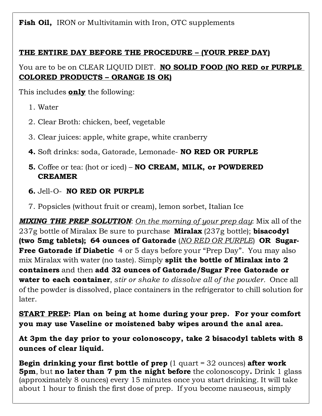**Fish Oil, IRON or Multivitamin with Iron, OTC supplements** 

## **THE ENTIRE DAY BEFORE THE PROCEDURE – (YOUR PREP DAY)**

You are to be on CLEAR LIQUID DIET. **NO SOLID FOOD (NO RED or PURPLE COLORED PRODUCTS – ORANGE IS OK)**

This includes **only** the following:

- 1. Water
- 2. Clear Broth: chicken, beef, vegetable
- 3. Clear juices: apple, white grape, white cranberry
- **4.** Soft drinks: soda, Gatorade, Lemonade- **NO RED OR PURPLE**
- **5.** Coffee or tea: (hot or iced) **NO CREAM, MILK, or POWDERED CREAMER**
- **6.** Jell-O- **NO RED OR PURPLE**
- 7. Popsicles (without fruit or cream), lemon sorbet, Italian Ice

*MIXING THE PREP SOLUTION*: *On the morning of your prep day*: Mix all of the 237g bottle of Miralax Be sure to purchase **Miralax** (237g bottle); **bisacodyl (two 5mg tablets); 64 ounces of Gatorade** (*NO RED OR PURPLE*) **OR Sugar-Free Gatorade if Diabetic** 4 or 5 days before your "Prep Day". You may also mix Miralax with water (no taste). Simply **split the bottle of Miralax into 2 containers** and then **add 32 ounces of Gatorade/Sugar Free Gatorade or water to each container**, *stir or shake to dissolve all of the powder.* Once all of the powder is dissolved, place containers in the refrigerator to chill solution for later.

**START PREP: Plan on being at home during your prep. For your comfort you may use Vaseline or moistened baby wipes around the anal area.**

**At 3pm the day prior to your colonoscopy, take 2 bisacodyl tablets with 8 ounces of clear liquid.**

**Begin drinking your first bottle of prep** (1 quart = 32 ounces) **after work 5pm**, but **no later than 7 pm the night before** the colonoscopy**.** Drink 1 glass (approximately 8 ounces) every 15 minutes once you start drinking. It will take about 1 hour to finish the first dose of prep. If you become nauseous, simply